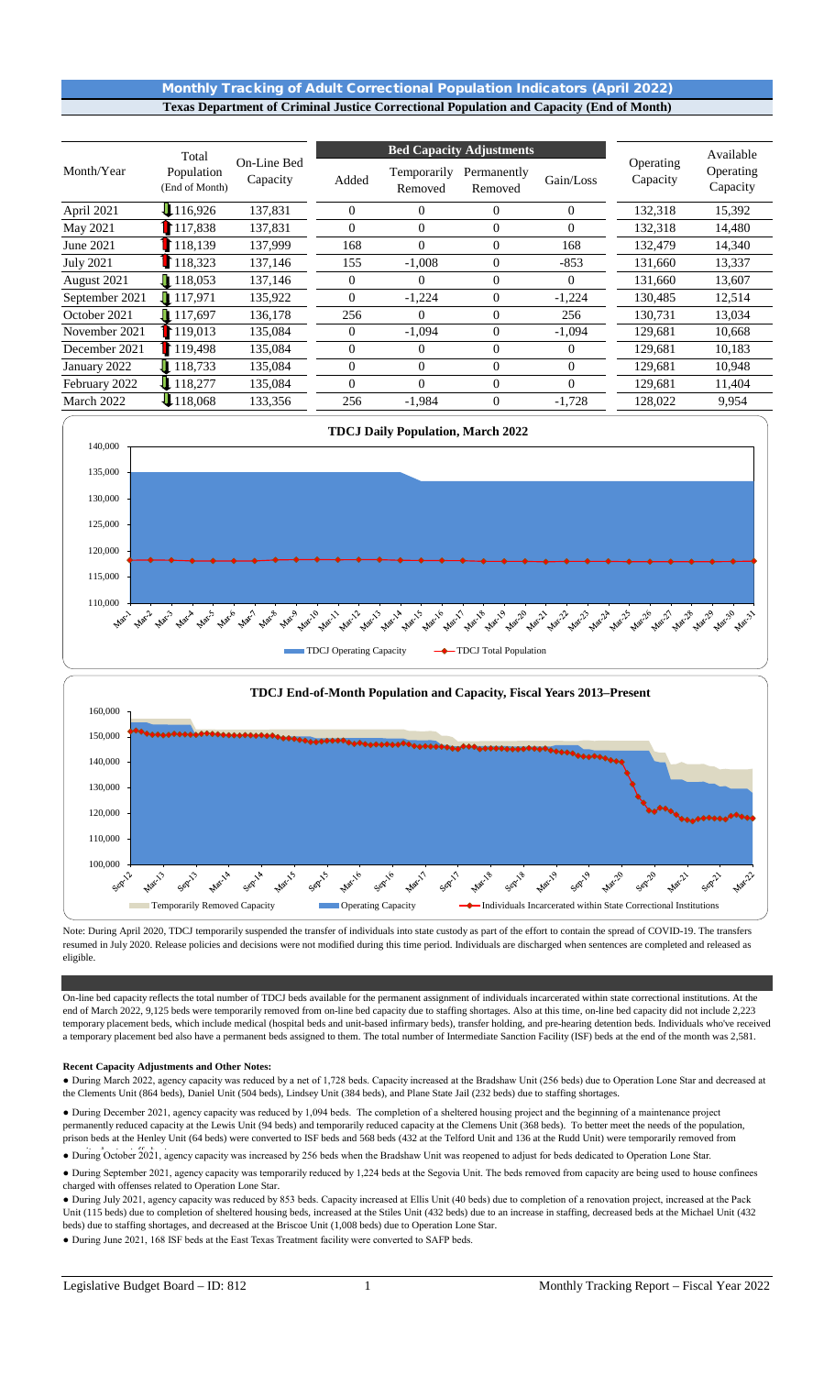# Monthly Tracking of Adult Correctional Population Indicators (April 2022) **Texas Department of Criminal Justice Correctional Population and Capacity (End of Month)**

|                  | Total                        |                         |                  | <b>Bed Capacity Adjustments</b> |                        |              | Available             |                       |
|------------------|------------------------------|-------------------------|------------------|---------------------------------|------------------------|--------------|-----------------------|-----------------------|
| Month/Year       | Population<br>(End of Month) | On-Line Bed<br>Capacity | Added            | Temporarily<br>Removed          | Permanently<br>Removed | Gain/Loss    | Operating<br>Capacity | Operating<br>Capacity |
| April 2021       | 116,926                      | 137,831                 | $\overline{0}$   | $\mathbf{0}$                    | $\mathbf{0}$           | $\theta$     | 132,318               | 15,392                |
| May 2021         | 117.838                      | 137,831                 | $\Omega$         | $\Omega$                        | $\theta$               | $\Omega$     | 132.318               | 14,480                |
| June 2021        | 118,139                      | 137,999                 | 168              | $\Omega$                        | $\mathbf{0}$           | 168          | 132,479               | 14,340                |
| <b>July 2021</b> | 118,323                      | 137,146                 | 155              | $-1,008$                        | $\Omega$               | $-853$       | 131,660               | 13,337                |
| August 2021      | $\sqrt{118,053}$             | 137,146                 | $\boldsymbol{0}$ | $\overline{0}$                  | $\theta$               | $\mathbf{0}$ | 131,660               | 13,607                |
| September 2021   | $\blacksquare$ 117.971       | 135,922                 | $\Omega$         | $-1,224$                        | $\overline{0}$         | $-1,224$     | 130.485               | 12,514                |
| October 2021     | $\prod$ 117,697              | 136,178                 | 256              | $\Omega$                        | $\theta$               | 256          | 130,731               | 13,034                |
| November 2021    | 119,013                      | 135,084                 | $\overline{0}$   | $-1,094$                        | $\mathbf{0}$           | $-1,094$     | 129,681               | 10,668                |
| December 2021    | 119,498                      | 135,084                 | $\theta$         | $\Omega$                        | $\Omega$               | $\mathbf{0}$ | 129,681               | 10,183                |
| January 2022     | 118.733                      | 135,084                 | $\mathbf{0}$     | $\overline{0}$                  | $\mathbf{0}$           | $\mathbf{0}$ | 129,681               | 10,948                |
| February 2022    | 18,277                       | 135,084                 | $\theta$         | $\Omega$                        | $\Omega$               | $\Omega$     | 129,681               | 11,404                |
| March 2022       | 118,068                      | 133,356                 | 256              | $-1,984$                        | $\mathbf{0}$           | $-1,728$     | 128,022               | 9,954                 |



Note: During April 2020, TDCJ temporarily suspended the transfer of individuals into state custody as part of the effort to contain the spread of COVID-19. The transfers resumed in July 2020. Release policies and decisions were not modified during this time period. Individuals are discharged when sentences are completed and released as eligible.

On-line bed capacity reflects the total number of TDCJ beds available for the permanent assignment of individuals incarcerated within state correctional institutions. At the end of March 2022, 9,125 beds were temporarily removed from on-line bed capacity due to staffing shortages. Also at this time, on-line bed capacity did not include 2,223 temporary placement beds, which include medical (hospital beds and unit-based infirmary beds), transfer holding, and pre-hearing detention beds. Individuals who've received a temporary placement bed also have a permanent beds assigned to them. The total number of Intermediate Sanction Facility (ISF) beds at the end of the month was 2,581.

#### **Recent Capacity Adjustments and Other Notes:**

● During March 2022, agency capacity was reduced by a net of 1,728 beds. Capacity increased at the Bradshaw Unit (256 beds) due to Operation Lone Star and decreased at the Clements Unit (864 beds), Daniel Unit (504 beds), Lindsey Unit (384 beds), and Plane State Jail (232 beds) due to staffing shortages.

● During December 2021, agency capacity was reduced by 1,094 beds. The completion of a sheltered housing project and the beginning of a maintenance project permanently reduced capacity at the Lewis Unit (94 beds) and temporarily reduced capacity at the Clemens Unit (368 beds). To better meet the needs of the population, prison beds at the Henley Unit (64 beds) were converted to ISF beds and 568 beds (432 at the Telford Unit and 136 at the Rudd Unit) were temporarily removed from

• During October 2021, agency capacity was increased by 256 beds when the Bradshaw Unit was reopened to adjust for beds dedicated to Operation Lone Star.

● During September 2021, agency capacity was temporarily reduced by 1,224 beds at the Segovia Unit. The beds removed from capacity are being used to house confinees charged with offenses related to Operation Lone Star.

● During July 2021, agency capacity was reduced by 853 beds. Capacity increased at Ellis Unit (40 beds) due to completion of a renovation project, increased at the Pack Unit (115 beds) due to completion of sheltered housing beds, increased at the Stiles Unit (432 beds) due to an increase in staffing, decreased beds at the Michael Unit (432 beds) due to staffing shortages, and decreased at the Briscoe Unit (1,008 beds) due to Operation Lone Star.

● During June 2021, 168 ISF beds at the East Texas Treatment facility were converted to SAFP beds.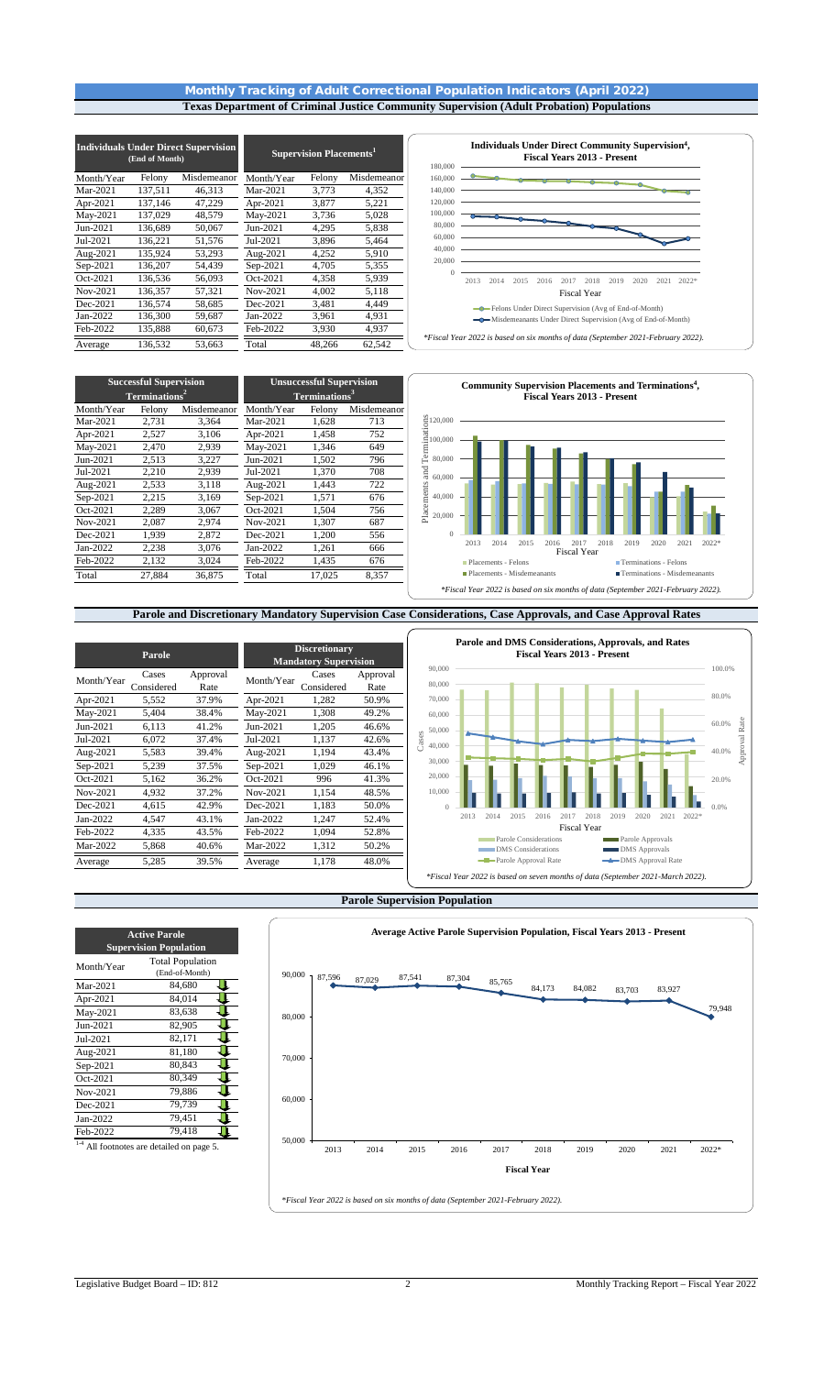### Monthly Tracking of Adult Correctional Population Indicators (April 2022) **Texas Department of Criminal Justice Community Supervision (Adult Probation) Populations**

|            | (End of Month) | <b>Individuals Under Direct Supervision</b> | Supervision Placements <sup>1</sup> |        |             |  |
|------------|----------------|---------------------------------------------|-------------------------------------|--------|-------------|--|
| Month/Year | Felony         | Misdemeanor                                 | Month/Year                          | Felony | Misdemeanor |  |
| Mar-2021   | 137,511        | 46,313                                      | Mar-2021                            | 3,773  | 4,352       |  |
| Apr-2021   | 137,146        | 47,229                                      | Apr-2021                            | 3,877  | 5,221       |  |
| May-2021   | 137,029        | 48,579                                      | May-2021                            | 3,736  | 5,028       |  |
| Jun-2021   | 136.689        | 50.067                                      | Jun-2021                            | 4.295  | 5,838       |  |
| Jul-2021   | 136,221        | 51,576                                      | Jul-2021                            | 3,896  | 5,464       |  |
| Aug-2021   | 135,924        | 53,293                                      | Aug-2021                            | 4,252  | 5,910       |  |
| Sep-2021   | 136,207        | 54.439                                      | Sep-2021                            | 4,705  | 5,355       |  |
| Oct-2021   | 136,536        | 56,093                                      | Oct-2021                            | 4,358  | 5,939       |  |
| Nov-2021   | 136,357        | 57,321                                      | Nov-2021                            | 4.002  | 5,118       |  |
| Dec-2021   | 136,574        | 58,685                                      | Dec-2021                            | 3,481  | 4,449       |  |
| Jan-2022   | 136,300        | 59,687                                      | Jan-2022                            | 3,961  | 4,931       |  |
| Feb-2022   | 135,888        | 60,673                                      | Feb-2022                            | 3,930  | 4,937       |  |
| Average    | 136,532        | 53.663                                      | Total                               | 48,266 | 62,542      |  |



Month/Year Felony Misdemeanor Month/Year Felony Misdemeanor Mar-2021 2,731 3,364 Mar-2021 1,628 713<br>Apr-2021 2,527 3,106 Apr-2021 1,458 752 Apr-2021 2,527 3,106 Apr-2021 1,458 752 May-2021 2,470 2,939 May-2021 1,346 649 Jun-2021 2,513 3,227 Jun-2021 1,502 796 Jul-2021 2,210 2,939 Jul-2021 1,370 708 Aug-2021 2,533 3,118 Aug-2021 1,443 722<br>Sep-2021 2,215 3,169 Sep-2021 1,571 676 Sep-2021 2,215 3,169 Sep-2021 1,571 676 0ct-2021 2,289 3,067 Oct-2021 1,504 756<br>Nov-2021 2,087 2,974 Nov-2021 1,307 687  $\frac{2,974}{2,872}$  Nov-2021<br>  $\frac{1}{3,076}$  Dec-2021 Dec-2021 1,939 2,872 Dec-2021 1,200 556 Jan-2022 2,238 3,076 Jan-2022 1,261 666 Feb-2022 2,132 3,024 Feb-2022 1,435 676 Total 27,884 36,875 Total 17,025 8,357 **Successful Supervision Terminations<sup>2</sup> Unsuccessful Supervision Terminations<sup>3</sup>**



## **Parole and Discretionary Mandatory Supervision Case Considerations, Case Approvals, and Case Approval Rates**

**Parole and DMS Considerations, Approvals, and Rates Discretionary Fiscal Years 2013 - Present** Parole<br> **Mandatory Supervision**<br> **Mandatory Supervision** 90,000 100.0% Month/Year Cases Approval  $\frac{\text{Rate}}{\text{Rate}}$  Month/Year Cases<br>37.9% Apr-2021 1.282 Approval 80,000 Considered  $\frac{\text{Considered}}{5,552}$ Rate<br>50.9% 80.0% Apr-2021 5,552 37.9% Apr-2021 70,000 May-2021 5,404 38.4% May-2021 1,308 49.2% 60,000 60.0% Rate Approval Rate Jun-2021 6,113 41.2% Jun-2021 1,205 46.6% 50,000 Cases Jul-2021 6,072 37.4% Jul-2021 1,137 42.6% 40,000 pprova Aug-2021 5,583 39.4% Aug-2021 1,194 43.4%<br>Sep-2021 5,239 37.5% Sep-2021 1,029 46.1% 40.0% 30,000 Sep-2021 5,239 37.5% Sep-2021 20,000  $\frac{\text{Oct-2021}}{\text{Nov-2021}}$  5,162 36.2% Oct-2021 996 41.3%<br>Nov-2021 4,932 37.2% Nov-2021 1,154 48.5% 20.0% 10,000 Nov-2021 4,932 37.2% Nov-2021 1,154 48.5%<br>Dec-2021 4,615 42.9% Dec-2021 1,183 50.0% Ш Dec-2021 0 0.0% Jan-2022 4,547 43.1% Jan-2022 1,247 52.4% 2013 2014 2015 2016 2017 2018 2019 2020 2021 2022\* Fiscal Year Feb-2022 4,335 43.5% Feb-2022 1,094 52.8% Parole Considerations **Parole Approvals** Mar-2022 5,868 40.6% Mar-2022 1,312 50.2% DMS Considerations DMS Approvals Parole Approval Rate DMS Approval Rate Average 5,285 39.5% Average 1,178 48.0% *\*Fiscal Year 2022 is based on seven months of data (September 2021-March 2022).*

#### **Parole Supervision Population**



| <b>Active Parole</b><br><b>Supervision Population</b>   |        |  |  |  |  |  |  |  |
|---------------------------------------------------------|--------|--|--|--|--|--|--|--|
| <b>Total Population</b><br>Month/Year<br>(End-of-Month) |        |  |  |  |  |  |  |  |
| Mar-2021                                                | 84,680 |  |  |  |  |  |  |  |
| Apr-2021                                                | 84,014 |  |  |  |  |  |  |  |
| May-2021                                                | 83,638 |  |  |  |  |  |  |  |
| Jun-2021                                                | 82,905 |  |  |  |  |  |  |  |
| Jul-2021                                                | 82,171 |  |  |  |  |  |  |  |
| Aug-2021                                                | 81,180 |  |  |  |  |  |  |  |
| Sep-2021                                                | 80,843 |  |  |  |  |  |  |  |
| Oct-2021                                                | 80.349 |  |  |  |  |  |  |  |
| Nov-2021                                                | 79,886 |  |  |  |  |  |  |  |
| Dec-2021                                                | 79,739 |  |  |  |  |  |  |  |
| Jan-2022                                                | 79,451 |  |  |  |  |  |  |  |
| Feb-2022                                                | 79,418 |  |  |  |  |  |  |  |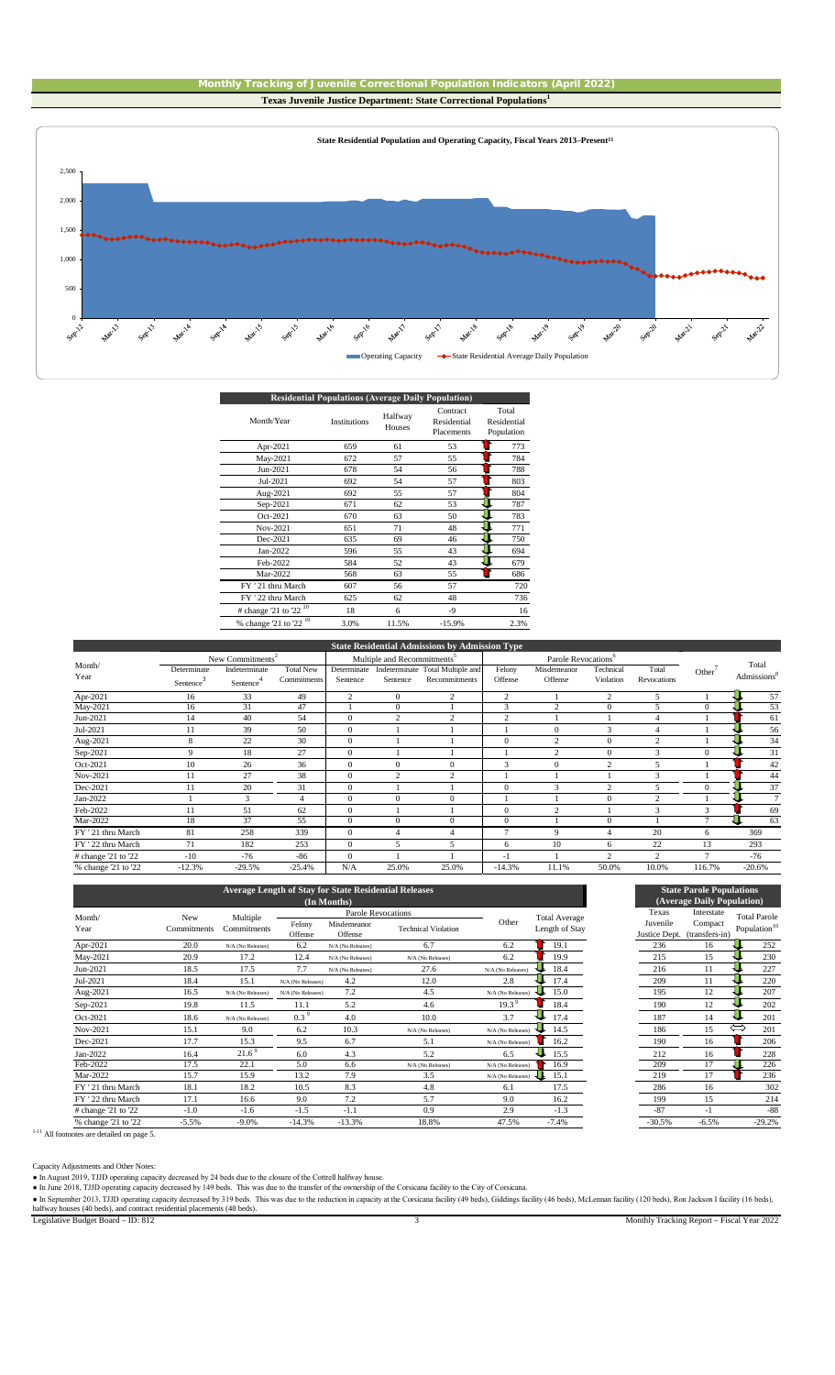



| <b>Residential Populations (Average Daily Population)</b> |                     |                   |                                       |                                    |  |  |  |  |  |  |
|-----------------------------------------------------------|---------------------|-------------------|---------------------------------------|------------------------------------|--|--|--|--|--|--|
| Month/Year                                                | <b>Institutions</b> | Halfway<br>Houses | Contract<br>Residential<br>Placements | Total<br>Residential<br>Population |  |  |  |  |  |  |
| Apr-2021                                                  | 659                 | 61                | 53                                    | 773                                |  |  |  |  |  |  |
| May-2021                                                  | 672                 | 57                | 55                                    | 784                                |  |  |  |  |  |  |
| Jun-2021                                                  | 678                 | 54                | 56                                    | 788                                |  |  |  |  |  |  |
| Jul-2021                                                  | 692                 | 54                | 57                                    | 803                                |  |  |  |  |  |  |
| Aug-2021                                                  | 692                 | 55                | 57                                    | 804                                |  |  |  |  |  |  |
| Sep-2021                                                  | 671                 | 62                | 53                                    | 787                                |  |  |  |  |  |  |
| Oct-2021                                                  | 670                 | 63                | 50                                    | 783                                |  |  |  |  |  |  |
| Nov-2021                                                  | 651                 | 71                | 48                                    | 771                                |  |  |  |  |  |  |
| Dec-2021                                                  | 635                 | 69                | 46                                    | 750                                |  |  |  |  |  |  |
| Jan-2022                                                  | 596                 | 55                | 43                                    | 694                                |  |  |  |  |  |  |
| Feb-2022                                                  | 584                 | 52                | 43                                    | 679                                |  |  |  |  |  |  |
| Mar-2022                                                  | 568                 | 63                | 55                                    | 686                                |  |  |  |  |  |  |
| FY '21 thru March                                         | 607                 | 56                | 57                                    | 720                                |  |  |  |  |  |  |
| FY '22 thru March                                         | 625                 | 62                | 48                                    | 736                                |  |  |  |  |  |  |
| $\#$ change '21 to '22 <sup>10</sup>                      | 18                  | 6                 | -9                                    | 16                                 |  |  |  |  |  |  |
| $\%$ change '21 to '22 <sup>10</sup>                      | 3.0%                | 11.5%             | $-15.9%$                              | 2.3%                               |  |  |  |  |  |  |
|                                                           |                     |                   |                                       |                                    |  |  |  |  |  |  |

|                              |             |               |                  |                                         |                | <b>State Residential Admissions by Admission Type</b> |                                 |                |                |                |                    |                         |
|------------------------------|-------------|---------------|------------------|-----------------------------------------|----------------|-------------------------------------------------------|---------------------------------|----------------|----------------|----------------|--------------------|-------------------------|
| New Commitments <sup>2</sup> |             |               |                  | Multiple and Recommitments <sup>3</sup> |                |                                                       | Parole Revocations <sup>6</sup> |                |                |                |                    |                         |
| Month/                       | Determinate | Indeterminate | <b>Total New</b> | Determinate                             |                | Indeterminate Total Multiple and                      | Felony                          | Misdemeanor    | Technical      | Total          | Other <sup>'</sup> | Total                   |
| Year                         | Sentence    | Sentence      | Commitments      | Sentence                                | Sentence       | Recommitments                                         | Offense                         | Offense        | Violation      | Revocations    |                    | Admissions <sup>8</sup> |
| Apr-2021                     | 16          | 33            | 49               | $\overline{c}$                          | $\mathbf{0}$   | 2                                                     | 2                               |                | $\overline{2}$ | 5              |                    | 57                      |
| May-2021                     | 16          | 31            | 47               |                                         | $\mathbf{0}$   |                                                       | 3                               | ◠              | $\Omega$       |                | $\Omega$           | 53                      |
| Jun-2021                     | 14          | 40            | 54               | $\mathbf{0}$                            | $\mathcal{D}$  | $\gamma$                                              | ◠                               |                |                |                |                    | 61                      |
| Jul-2021                     | 11          | 39            | 50               | $\theta$                                |                |                                                       |                                 | $\theta$       | 3              | 4              |                    | 56                      |
| Aug-2021                     | 8           | 22            | 30               | $\theta$                                |                |                                                       | $\Omega$                        | $\overline{c}$ | $\Omega$       | $\overline{2}$ |                    | 34                      |
| Sep-2021                     | 9           | 18            | 27               | $\theta$                                |                |                                                       |                                 | $\overline{c}$ | $\Omega$       | $\mathbf{3}$   | $\Omega$           | 31                      |
| Oct-2021                     | 10          | 26            | 36               | $\mathbf{0}$                            | $\mathbf{0}$   | $\mathbf{0}$                                          | 3                               | $\mathbf{0}$   | $\overline{c}$ | 5              |                    | 42                      |
| Nov-2021                     | 11          | 27            | 38               | $\theta$                                | 2              | 2                                                     |                                 |                |                | 3              |                    | 44                      |
| Dec-2021                     | 11          | 20            | 31               | $\theta$                                |                |                                                       | $\Omega$                        | 3              | $\mathcal{L}$  |                |                    | 37                      |
| Jan-2022                     |             | 3             | $\overline{4}$   | $\Omega$                                | $\Omega$       | 0                                                     |                                 |                | $\Omega$       | $\overline{2}$ |                    | $\tau$                  |
| Feb-2022                     | 11          | 51            | 62               | $\theta$                                |                |                                                       |                                 | $\sim$         |                | 3              | 3                  | 69                      |
| Mar-2022                     | 18          | 37            | 55               | $\theta$                                | $\mathbf{0}$   | $\theta$                                              | $\mathbf{0}$                    |                | $\Omega$       |                |                    | 63                      |
| FY ' 21 thru March           | 81          | 258           | 339              | $\theta$                                | $\overline{4}$ |                                                       | 7                               | 9              | $\overline{4}$ | 20             | 6                  | 369                     |
| FY ' 22 thru March           | 71          | 182           | 253              | $\mathbf{0}$                            | 5              | 5                                                     | 6                               | 10             | 6              | 22             | 13                 | 293                     |
| # change '21 to '22          | $-10$       | $-76$         | $-86$            | $\theta$                                |                |                                                       | $-1$                            |                | $\sim$         | $\mathcal{L}$  |                    | $-76$                   |
| % change '21 to '22          | $-12.3%$    | $-29.5%$      | $-25.4%$         | N/A                                     | 25.0%          | 25.0%                                                 | $-14.3%$                        | 11.1%          | 50.0%          | 10.0%          | 116.7%             | $-20.6%$                |

|                     |             |                   |                   |                        | <b>Average Length of Stay for State Residential Releases</b> |                   |                      |                           | <b>State Parole Populations</b> |                          |
|---------------------|-------------|-------------------|-------------------|------------------------|--------------------------------------------------------------|-------------------|----------------------|---------------------------|---------------------------------|--------------------------|
|                     |             |                   |                   | (In Months)            |                                                              |                   |                      |                           | (Average Daily Population)      |                          |
| Month/              | <b>New</b>  | Multiple          |                   |                        | Parole Revocations                                           |                   | <b>Total Average</b> | Texas                     | Interstate                      | <b>Total Parole</b>      |
| Year                | Commitments | Commitments       | Felony<br>Offense | Misdemeanor<br>Offense | <b>Technical Violation</b>                                   | Other             | Length of Stay       | Juvenile<br>Justice Dept. | Compact<br>(transfers-in)       | Population <sup>16</sup> |
| Apr-2021            | 20.0        | N/A (No Releases) | 6.2               | N/A (No Releases)      | 6.7                                                          | 6.2               | 19.1                 | 236                       | 16                              | 252                      |
| May-2021            | 20.9        | 17.2              | 12.4              | N/A (No Releases)      | N/A (No Releases)                                            | 6.2               | 19.9                 | 215                       | 15                              | 230                      |
| Jun-2021            | 18.5        | 17.5              | 7.7               | N/A (No Releases)      | 27.6                                                         | N/A (No Releases) | 18.4                 | 216                       | 11                              | 227                      |
| Jul-2021            | 18.4        | 15.1              | N/A (No Releases) | 4.2                    | 12.0                                                         | 2.8               | 17.4                 | 209                       | 11                              | 220                      |
| Aug-2021            | 16.5        | N/A (No Releases) | N/A (No Releases) | 7.2                    | 4.5                                                          | N/A (No Releases) | 15.0                 | 195                       | 12                              | 207                      |
| $Sep-2021$          | 19.8        | 11.5              | 11.1              | 5.2                    | 4.6                                                          | 19.3 <sup>9</sup> | 18.4                 | 190                       | 12                              | 202                      |
| Oct-2021            | 18.6        | N/A (No Releases) | $0.3^9$           | 4.0                    | 10.0                                                         | 3.7               | 17.4                 | 187                       | 14                              | 201                      |
| Nov-2021            | 15.1        | 9.0               | 6.2               | 10.3                   | N/A (No Releases)                                            | N/A (No Releases) | 14.5                 | 186                       | 15                              | $\Leftarrow$<br>201      |
| Dec-2021            | 17.7        | 15.3              | 9.5               | 6.7                    | 5.1                                                          | N/A (No Releases) | 16.2                 | 190                       | 16                              | 206                      |
| Jan-2022            | 16.4        | 21.6 <sup>9</sup> | 6.0               | 4.3                    | 5.2                                                          | 6.5               | 15.5                 | 212                       | 16                              | 228                      |
| Feb-2022            | 17.5        | 22.1              | 5.0               | 6.6                    | N/A (No Releases)                                            | N/A (No Releases) | 16.9                 | 209                       | 17                              | 226                      |
| Mar-2022            | 15.7        | 15.9              | 13.2              | 7.9                    | 3.5                                                          | N/A (No Releases) | 15.1                 | 219                       | 17                              | 236                      |
| FY '21 thru March   | 18.1        | 18.2              | 10.5              | 8.3                    | 4.8                                                          | 6.1               | 17.5                 | 286                       | 16                              | 302                      |
| FY '22 thru March   | 17.1        | 16.6              | 9.0               | 7.2                    | 5.7                                                          | 9.0               | 16.2                 | 199                       | 15                              | 214                      |
| # change '21 to '22 | $-1.0$      | $-1.6$            | $-1.5$            | $-1.1$                 | 0.9                                                          | 2.9               | $-1.3$               | $-87$                     | $-1$                            | $-88$                    |
| % change '21 to '22 | $-5.5%$     | $-9.0%$           | $-14.3%$          | $-13.3%$               | 18.8%                                                        | 47.5%             | $-7.4%$              | $-30.5%$                  | $-6.5%$                         | $-29.2%$                 |



<sup>1-11</sup> All footnotes are detailed on page 5.

Capacity Adjustments and Other Notes:<br>● In August 2019, TJJD operating capacity decreased by 24 beds due to the closure of the Cottrell halfway house.<br>● In June 2018, TJJD operating capacity decreased by 149 beds. This wa

• In September 2013, TJJD operating capacity decreased by 319 beds. This was due to the reduction in capacity at the Corsicana facility (49 beds), Giddings facility (46 beds), McLennan facility (120 beds), Ron Jackson I fa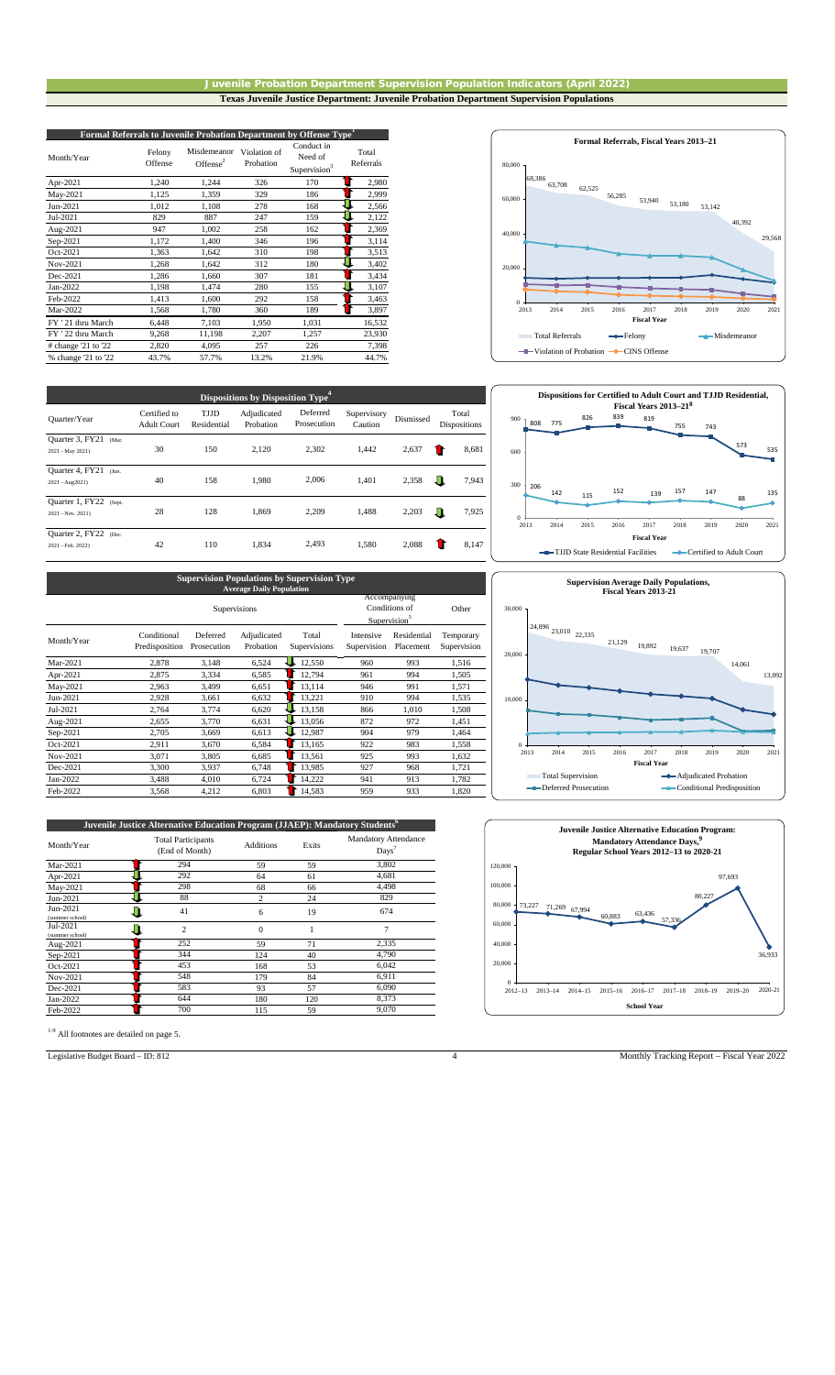### Juvenile Probation Department Supervision Population Indicators (April 2022) **Texas Juvenile Justice Department: Juvenile Probation Department Supervision Populations**

| Formal Referrals to Juvenile Probation Department by Offense Type <sup>1</sup> |                   |                            |                           |                                                   |                    |  |  |  |  |
|--------------------------------------------------------------------------------|-------------------|----------------------------|---------------------------|---------------------------------------------------|--------------------|--|--|--|--|
| Month/Year                                                                     | Felony<br>Offense | Misdemeanor<br>Offense $2$ | Violation of<br>Probation | Conduct in<br>Need of<br>Supervision <sup>3</sup> | Total<br>Referrals |  |  |  |  |
| Apr-2021                                                                       | 1,240             | 1,244                      | 326                       | 170                                               | 2,980              |  |  |  |  |
| May-2021                                                                       | 1,125             | 1,359                      | 329                       | 186                                               | 2,999              |  |  |  |  |
| Jun-2021                                                                       | 1,012             | 1,108                      | 278                       | 168                                               | 2,566              |  |  |  |  |
| Jul-2021                                                                       | 829               | 887                        | 247                       | 159                                               | 2,122              |  |  |  |  |
| Aug-2021                                                                       | 947               | 1,002                      | 258                       | 162                                               | 2,369              |  |  |  |  |
| Sep-2021                                                                       | 1,172             | 1,400                      | 346                       | 196                                               | 3,114              |  |  |  |  |
| Oct-2021                                                                       | 1,363             | 1,642                      | 310                       | 198                                               | 3,513              |  |  |  |  |
| Nov-2021                                                                       | 1,268             | 1,642                      | 312                       | 180                                               | 3,402              |  |  |  |  |
| Dec-2021                                                                       | 1,286             | 1,660                      | 307                       | 181                                               | 3,434              |  |  |  |  |
| Jan-2022                                                                       | 1,198             | 1,474                      | 280                       | 155                                               | 3,107              |  |  |  |  |
| Feb-2022                                                                       | 1,413             | 1,600                      | 292                       | 158                                               | 3,463              |  |  |  |  |
| Mar-2022                                                                       | 1,568             | 1,780                      | 360                       | 189                                               | 3,897              |  |  |  |  |
| FY '21 thru March                                                              | 6,448             | 7,103                      | 1,950                     | 1,031                                             | 16,532             |  |  |  |  |
| FY '22 thru March                                                              | 9,268             | 11,198                     | 2,207                     | 1,257                                             | 23,930             |  |  |  |  |
| # change '21 to '22                                                            | 2,820             | 4,095                      | 257                       | 226                                               | 7,398              |  |  |  |  |
| % change '21 to '22                                                            | 43.7%             | 57.7%                      | 13.2%                     | 21.9%                                             | 44.7%              |  |  |  |  |

| <b>Dispositions by Disposition Type<sup>4</sup></b> |                                    |                     |                          |                         |                        |           |                       |  |  |
|-----------------------------------------------------|------------------------------------|---------------------|--------------------------|-------------------------|------------------------|-----------|-----------------------|--|--|
| Quarter/Year                                        | Certified to<br><b>Adult Court</b> | TJJD<br>Residential | Adjudicated<br>Probation | Deferred<br>Prosecution | Supervisory<br>Caution | Dismissed | Total<br>Dispositions |  |  |
| Quarter 3, FY21<br>(Mar.                            |                                    |                     |                          |                         |                        |           |                       |  |  |
| 2021 - May 2021)                                    | 30                                 | 150                 | 2,120                    | 2.302                   | 1.442                  | 2,637     | 8,681                 |  |  |
| Quarter 4, FY21<br>(Jun.                            |                                    |                     |                          |                         |                        |           |                       |  |  |
| 2021 - Aug2021)                                     | 40                                 | 158                 | 1.980                    | 2.006                   | 1.401                  | 2,358     | ш<br>7,943            |  |  |
| Quarter 1, FY22<br>(Sept.                           |                                    |                     |                          |                         |                        |           |                       |  |  |
| 2021 - Nov. 2021)                                   | 28                                 | 128                 | 1.869                    | 2.209                   | 1.488                  | 2,203     | л<br>7,925            |  |  |
| Quarter 2, FY22<br>(Dec.                            |                                    |                     |                          |                         |                        |           |                       |  |  |
| 2021 - Feb. 2022)                                   | 42                                 | 110                 | 1.834                    | 2.493                   | 1.580                  | 2,088     | 8,147                 |  |  |

# **Supervision Populations by Supervision Type Average Daily Population**

|            |                               |                         | Average Dany Topmanon    |                       |                          |                                                           |                          |
|------------|-------------------------------|-------------------------|--------------------------|-----------------------|--------------------------|-----------------------------------------------------------|--------------------------|
|            |                               |                         | Supervisions             |                       |                          | Accompanying<br>Conditions of<br>Supervision <sup>5</sup> | Other                    |
| Month/Year | Conditional<br>Predisposition | Deferred<br>Prosecution | Adjudicated<br>Probation | Total<br>Supervisions | Intensive<br>Supervision | Residential<br>Placement                                  | Temporary<br>Supervision |
| Mar-2021   | 2,878                         | 3.148                   | 6,524                    | 12,550                | 960                      | 993                                                       | 1,516                    |
| Apr-2021   | 2,875                         | 3,334                   | 6,585                    | 12,794                | 961                      | 994                                                       | 1,505                    |
| May-2021   | 2,963                         | 3,499                   | 6,651                    | 13.114                | 946                      | 991                                                       | 1,571                    |
| Jun-2021   | 2,928                         | 3,661                   | 6,632                    | 13,221                | 910                      | 994                                                       | 1,535                    |
| Jul-2021   | 2,764                         | 3,774                   | 6,620                    | 13,158                | 866                      | 1,010                                                     | 1,508                    |
| Aug-2021   | 2,655                         | 3,770                   | 6,631                    | 13,056                | 872                      | 972                                                       | 1,451                    |
| Sep-2021   | 2,705                         | 3.669                   | 6,613                    | 12,987                | 904                      | 979                                                       | 1,464                    |
| Oct-2021   | 2,911                         | 3,670                   | 6,584                    | 13,165                | 922                      | 983                                                       | 1,558                    |
| Nov-2021   | 3,071                         | 3.805                   | 6,685                    | 13.561                | 925                      | 993                                                       | 1,632                    |
| Dec-2021   | 3,300                         | 3,937                   | 6,748                    | 13,985                | 927                      | 968                                                       | 1,721                    |
| Jan-2022   | 3,488                         | 4,010                   | 6,724                    | 14,222                | 941                      | 913                                                       | 1,782                    |
| Feb-2022   | 3,568                         | 4,212                   | 6,803                    | 14,583                | 959                      | 933                                                       | 1,820                    |

| Juvenile Justice Alternative Education Program (JJAEP): Mandatory Students <sup>6</sup> |                                             |                  |       |                                                 |  |  |  |  |  |  |
|-----------------------------------------------------------------------------------------|---------------------------------------------|------------------|-------|-------------------------------------------------|--|--|--|--|--|--|
| Month/Year                                                                              | <b>Total Participants</b><br>(End of Month) | <b>Additions</b> | Exits | <b>Mandatory Attendance</b><br>$_{\text{Days}}$ |  |  |  |  |  |  |
| Mar-2021                                                                                | 294                                         | 59               | 59    | 3,802                                           |  |  |  |  |  |  |
| Apr-2021                                                                                | 292                                         | 64               | 61    | 4,681                                           |  |  |  |  |  |  |
| May-2021                                                                                | 298                                         | 68               | 66    | 4,498                                           |  |  |  |  |  |  |
| Jun-2021                                                                                | 88                                          | $\overline{c}$   | 24    | 829                                             |  |  |  |  |  |  |
| Jun-2021<br>(summer school)                                                             | 41                                          | 6                | 19    | 674                                             |  |  |  |  |  |  |
| Jul-2021<br>(summer school)                                                             | $\overline{c}$                              | $\Omega$         |       | 7                                               |  |  |  |  |  |  |
| Aug-2021                                                                                | 252                                         | 59               | 71    | 2,335                                           |  |  |  |  |  |  |
| Sep-2021                                                                                | 344                                         | 124              | 40    | 4,790                                           |  |  |  |  |  |  |
| Oct-2021                                                                                | 453                                         | 168              | 53    | 6,042                                           |  |  |  |  |  |  |
| Nov-2021                                                                                | 548                                         | 179              | 84    | 6,911                                           |  |  |  |  |  |  |
| Dec-2021                                                                                | 583                                         | 93               | 57    | 6,090                                           |  |  |  |  |  |  |
| Jan-2022                                                                                | 644                                         | 180              | 120   | 8,373                                           |  |  |  |  |  |  |
| Feb-2022                                                                                | 700                                         | 115              | 59    | 9,070                                           |  |  |  |  |  |  |











Legislative Budget Board – ID: 812 4 Monthly Tracking Report – Fiscal Year 2022